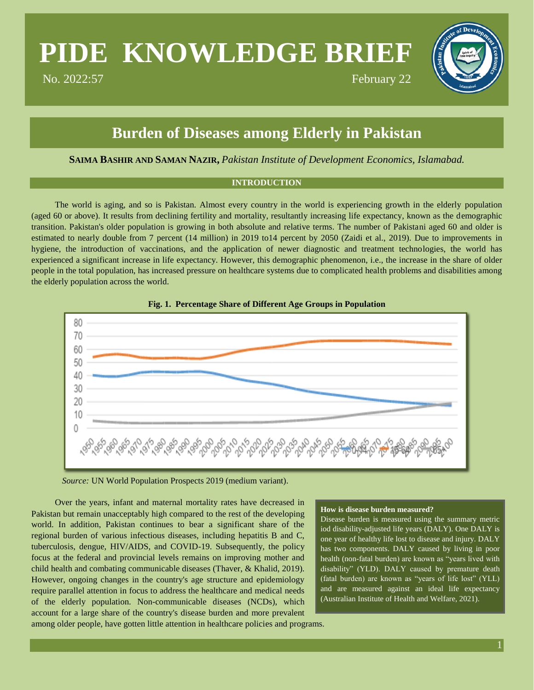# **PIDE KNOWLEDGE BRIEF**

No. 2022:57 February 22

## **Burden of Diseases among Elderly in Pakistan**

**SAIMA BASHIR AND SAMAN NAZIR,** *Pakistan Institute of Development Economics, Islamabad.*

#### **INTRODUCTION**

The world is aging, and so is Pakistan. Almost every country in the world is experiencing growth in the elderly population (aged 60 or above). It results from declining fertility and mortality, resultantly increasing life expectancy, known as the demographic transition. Pakistan's older population is growing in both absolute and relative terms. The number of Pakistani aged 60 and older is estimated to nearly double from 7 percent (14 million) in 2019 to14 percent by 2050 (Zaidi et al., 2019). Due to improvements in hygiene, the introduction of vaccinations, and the application of newer diagnostic and treatment technologies, the world has experienced a significant increase in life expectancy. However, this demographic phenomenon, i.e., the increase in the share of older people in the total population, has increased pressure on healthcare systems due to complicated health problems and disabilities among the elderly population across the world.





*Source:* UN World Population Prospects 2019 (medium variant).

Over the years, infant and maternal mortality rates have decreased in Pakistan but remain unacceptably high compared to the rest of the developing world. In addition, Pakistan continues to bear a significant share of the regional burden of various infectious diseases, including hepatitis B and C, tuberculosis, dengue, HIV/AIDS, and COVID-19. Subsequently, the policy focus at the federal and provincial levels remains on improving mother and child health and combating communicable diseases (Thaver, & Khalid, 2019). However, ongoing changes in the country's age structure and epidemiology require parallel attention in focus to address the healthcare and medical needs of the elderly population. Non-communicable diseases (NCDs), which account for a large share of the country's disease burden and more prevalent

#### **How is disease burden measured?**

Disease burden is measured using the summary metric iod disability-adjusted life years (DALY). One DALY is one year of healthy life lost to disease and injury. DALY has two components. DALY caused by living in poor health (non-fatal burden) are known as "years lived with disability" (YLD). DALY caused by premature death (fatal burden) are known as "years of life lost" (YLL) and are measured against an ideal life expectancy (Australian Institute of Health and Welfare, 2021).

among older people, have gotten little attention in healthcare policies and programs.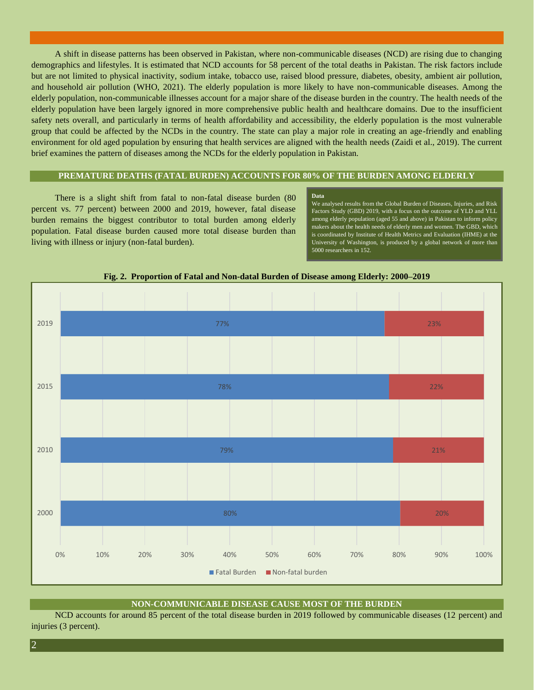A shift in disease patterns has been observed in Pakistan, where non-communicable diseases (NCD) are rising due to changing demographics and lifestyles. It is estimated that NCD accounts for 58 percent of the total deaths in Pakistan. The risk factors include but are not limited to physical inactivity, sodium intake, tobacco use, raised blood pressure, diabetes, obesity, ambient air pollution, and household air pollution (WHO, 2021). The elderly population is more likely to have non-communicable diseases. Among the elderly population, non-communicable illnesses account for a major share of the disease burden in the country. The health needs of the elderly population have been largely ignored in more comprehensive public health and healthcare domains. Due to the insufficient safety nets overall, and particularly in terms of health affordability and accessibility, the elderly population is the most vulnerable group that could be affected by the NCDs in the country. The state can play a major role in creating an age-friendly and enabling environment for old aged population by ensuring that health services are aligned with the health needs (Zaidi et al., 2019). The current brief examines the pattern of diseases among the NCDs for the elderly population in Pakistan.

#### **PREMATURE DEATHS (FATAL BURDEN) ACCOUNTS FOR 80% OF THE BURDEN AMONG ELDERLY**

There is a slight shift from fatal to non-fatal disease burden (80 percent vs. 77 percent) between 2000 and 2019, however, fatal disease burden remains the biggest contributor to total burden among elderly population. Fatal disease burden caused more total disease burden than living with illness or injury (non-fatal burden).

#### **Data**

We analysed results from the Global Burden of Diseases, Injuries, and Risk Factors Study (GBD) 2019, with a focus on the outcome of YLD and YLL among elderly population (aged 55 and above) in Pakistan to inform policy makers about the health needs of elderly men and women. The GBD, which is coordinated by Institute of Health Metrics and Evaluation (IHME) at the University of Washington, is produced by a global network of more than 5000 researchers in 152.



**Fig. 2. Proportion of Fatal and Non-datal Burden of Disease among Elderly: 2000–2019**

#### **NON-COMMUNICABLE DISEASE CAUSE MOST OF THE BURDEN**

NCD accounts for around 85 percent of the total disease burden in 2019 followed by communicable diseases (12 percent) and injuries (3 percent).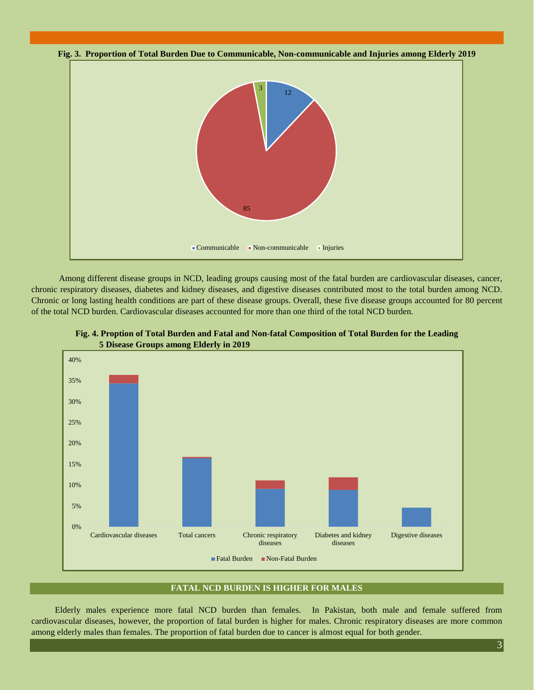



Among different disease groups in NCD, leading groups causing most of the fatal burden are cardiovascular diseases, cancer, chronic respiratory diseases, diabetes and kidney diseases, and digestive diseases contributed most to the total burden among NCD. Chronic or long lasting health conditions are part of these disease groups. Overall, these five disease groups accounted for 80 percent of the total NCD burden. Cardiovascular diseases accounted for more than one third of the total NCD burden.





#### **FATAL NCD BURDEN IS HIGHER FOR MALES**

Elderly males experience more fatal NCD burden than females. In Pakistan, both male and female suffered from cardiovascular diseases, however, the proportion of fatal burden is higher for males. Chronic respiratory diseases are more common among elderly males than females. The proportion of fatal burden due to cancer is almost equal for both gender.